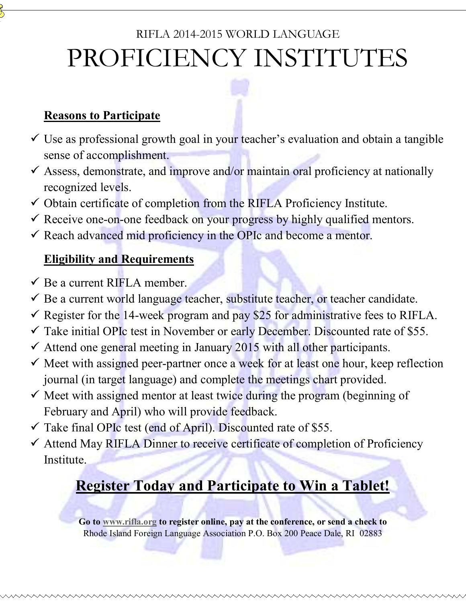# RIFLA 2014-2015 WORLD LANGUAGE PROFICIENCY INSTITUTES

#### **Reasons to Participate**

- $\checkmark$  Use as professional growth goal in your teacher's evaluation and obtain a tangible sense of accomplishment.
- $\checkmark$  Assess, demonstrate, and improve and/or maintain oral proficiency at nationally recognized levels.
- $\checkmark$  Obtain certificate of completion from the RIFLA Proficiency Institute.
- $\checkmark$  Receive one-on-one feedback on your progress by highly qualified mentors.
- $\checkmark$  Reach advanced mid proficiency in the OPIc and become a mentor.

#### **Eligibility and Requirements**

- $\checkmark$  Be a current RIFLA member.
- Be a current world language teacher, substitute teacher, or teacher candidate.
- Register for the 14-week program and pay \$25 for administrative fees to RIFLA.
- $\checkmark$  Take initial OPIc test in November or early December. Discounted rate of \$55.
- $\checkmark$  Attend one general meeting in January 2015 with all other participants.
- $\checkmark$  Meet with assigned peer-partner once a week for at least one hour, keep reflection journal (in target language) and complete the meetings chart provided.
- $\checkmark$  Meet with assigned mentor at least twice during the program (beginning of February and April) who will provide feedback.
- $\checkmark$  Take final OPIc test (end of April). Discounted rate of \$55.
- $\checkmark$  Attend May RIFLA Dinner to receive certificate of completion of Proficiency **Institute**

## **Register Today and Participate to Win a Tablet!**

**Go to www.rifla.org to register online, pay at the conference, or send a check to**  Rhode Island Foreign Language Association P.O. Box 200 Peace Dale, RI 02883